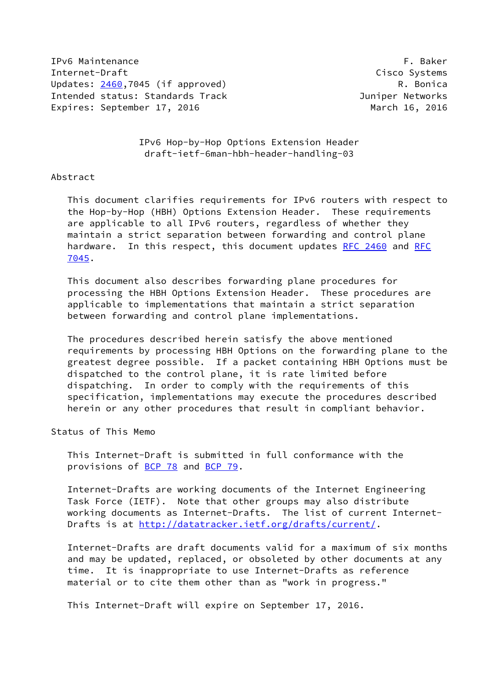IPv6 Maintenance **F. Baker** Internet-Draft Cisco Systems Updates: [2460](https://datatracker.ietf.org/doc/pdf/rfc2460),7045 (if approved) R. Bonica Intended status: Standards Track Juniper Networks Expires: September 17, 2016 March 16, 2016

 IPv6 Hop-by-Hop Options Extension Header draft-ietf-6man-hbh-header-handling-03

#### Abstract

 This document clarifies requirements for IPv6 routers with respect to the Hop-by-Hop (HBH) Options Extension Header. These requirements are applicable to all IPv6 routers, regardless of whether they maintain a strict separation between forwarding and control plane hardware. In this respect, this document updates [RFC 2460](https://datatracker.ietf.org/doc/pdf/rfc2460) and [RFC](https://datatracker.ietf.org/doc/pdf/rfc7045) [7045](https://datatracker.ietf.org/doc/pdf/rfc7045).

 This document also describes forwarding plane procedures for processing the HBH Options Extension Header. These procedures are applicable to implementations that maintain a strict separation between forwarding and control plane implementations.

 The procedures described herein satisfy the above mentioned requirements by processing HBH Options on the forwarding plane to the greatest degree possible. If a packet containing HBH Options must be dispatched to the control plane, it is rate limited before dispatching. In order to comply with the requirements of this specification, implementations may execute the procedures described herein or any other procedures that result in compliant behavior.

Status of This Memo

 This Internet-Draft is submitted in full conformance with the provisions of [BCP 78](https://datatracker.ietf.org/doc/pdf/bcp78) and [BCP 79](https://datatracker.ietf.org/doc/pdf/bcp79).

 Internet-Drafts are working documents of the Internet Engineering Task Force (IETF). Note that other groups may also distribute working documents as Internet-Drafts. The list of current Internet Drafts is at<http://datatracker.ietf.org/drafts/current/>.

 Internet-Drafts are draft documents valid for a maximum of six months and may be updated, replaced, or obsoleted by other documents at any time. It is inappropriate to use Internet-Drafts as reference material or to cite them other than as "work in progress."

This Internet-Draft will expire on September 17, 2016.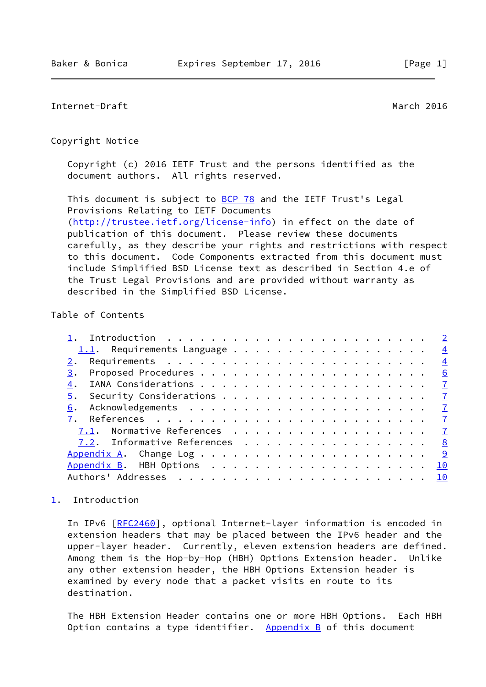# <span id="page-1-1"></span>Internet-Draft March 2016

#### Copyright Notice

 Copyright (c) 2016 IETF Trust and the persons identified as the document authors. All rights reserved.

This document is subject to **[BCP 78](https://datatracker.ietf.org/doc/pdf/bcp78)** and the IETF Trust's Legal Provisions Relating to IETF Documents [\(http://trustee.ietf.org/license-info](http://trustee.ietf.org/license-info)) in effect on the date of publication of this document. Please review these documents carefully, as they describe your rights and restrictions with respect to this document. Code Components extracted from this document must include Simplified BSD License text as described in Section 4.e of the Trust Legal Provisions and are provided without warranty as described in the Simplified BSD License.

# Table of Contents

|                                                                           | $\frac{4}{3}$ |
|---------------------------------------------------------------------------|---------------|
| 3.                                                                        | 6             |
| 4.                                                                        |               |
| 5.                                                                        |               |
| Acknowledgements $\ldots \ldots \ldots \ldots \ldots \ldots \ldots$<br>6. |               |
|                                                                           |               |
| <u>7.1</u> . Normative References <u>7</u>                                |               |
| 7.2. Informative References 8                                             |               |
|                                                                           |               |
|                                                                           | 10            |
|                                                                           |               |
|                                                                           |               |

# <span id="page-1-0"></span>[1](#page-1-0). Introduction

 In IPv6 [\[RFC2460](https://datatracker.ietf.org/doc/pdf/rfc2460)], optional Internet-layer information is encoded in extension headers that may be placed between the IPv6 header and the upper-layer header. Currently, eleven extension headers are defined. Among them is the Hop-by-Hop (HBH) Options Extension header. Unlike any other extension header, the HBH Options Extension header is examined by every node that a packet visits en route to its destination.

 The HBH Extension Header contains one or more HBH Options. Each HBH Option contains a type identifier. Appendix  $B$  of this document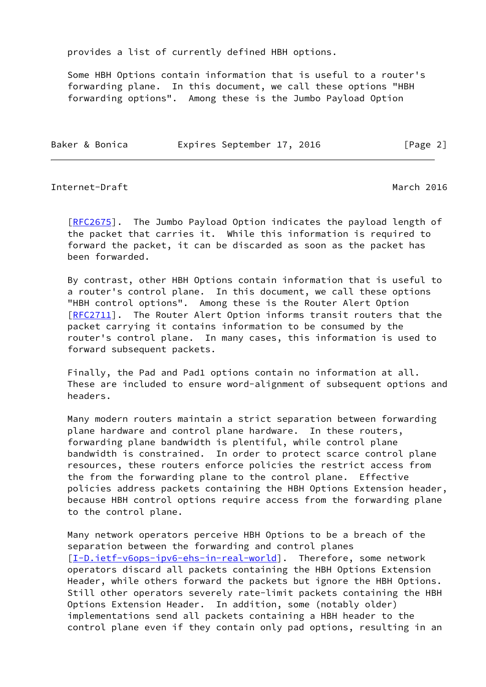provides a list of currently defined HBH options.

 Some HBH Options contain information that is useful to a router's forwarding plane. In this document, we call these options "HBH forwarding options". Among these is the Jumbo Payload Option

Baker & Bonica **Expires September 17, 2016** [Page 2]

## Internet-Draft March 2016

[\[RFC2675](https://datatracker.ietf.org/doc/pdf/rfc2675)]. The Jumbo Payload Option indicates the payload length of the packet that carries it. While this information is required to forward the packet, it can be discarded as soon as the packet has been forwarded.

 By contrast, other HBH Options contain information that is useful to a router's control plane. In this document, we call these options "HBH control options". Among these is the Router Alert Option [\[RFC2711](https://datatracker.ietf.org/doc/pdf/rfc2711)]. The Router Alert Option informs transit routers that the packet carrying it contains information to be consumed by the router's control plane. In many cases, this information is used to forward subsequent packets.

 Finally, the Pad and Pad1 options contain no information at all. These are included to ensure word-alignment of subsequent options and headers.

 Many modern routers maintain a strict separation between forwarding plane hardware and control plane hardware. In these routers, forwarding plane bandwidth is plentiful, while control plane bandwidth is constrained. In order to protect scarce control plane resources, these routers enforce policies the restrict access from the from the forwarding plane to the control plane. Effective policies address packets containing the HBH Options Extension header, because HBH control options require access from the forwarding plane to the control plane.

 Many network operators perceive HBH Options to be a breach of the separation between the forwarding and control planes [\[I-D.ietf-v6ops-ipv6-ehs-in-real-world](#page-8-1)]. Therefore, some network operators discard all packets containing the HBH Options Extension Header, while others forward the packets but ignore the HBH Options. Still other operators severely rate-limit packets containing the HBH Options Extension Header. In addition, some (notably older) implementations send all packets containing a HBH header to the control plane even if they contain only pad options, resulting in an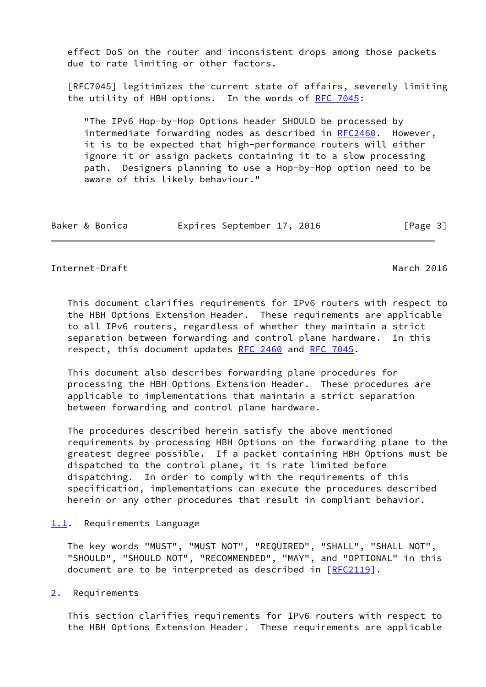effect DoS on the router and inconsistent drops among those packets due to rate limiting or other factors.

 [RFC7045] legitimizes the current state of affairs, severely limiting the utility of HBH options. In the words of [RFC 7045](https://datatracker.ietf.org/doc/pdf/rfc7045):

 "The IPv6 Hop-by-Hop Options header SHOULD be processed by intermediate forwarding nodes as described in [RFC2460](https://datatracker.ietf.org/doc/pdf/rfc2460). However, it is to be expected that high-performance routers will either ignore it or assign packets containing it to a slow processing path. Designers planning to use a Hop-by-Hop option need to be aware of this likely behaviour."

| Baker & Bonica |  | Expires September 17, 2016 |  |  | [Page 3] |  |
|----------------|--|----------------------------|--|--|----------|--|
|----------------|--|----------------------------|--|--|----------|--|

# <span id="page-3-1"></span>Internet-Draft March 2016

 This document clarifies requirements for IPv6 routers with respect to the HBH Options Extension Header. These requirements are applicable to all IPv6 routers, regardless of whether they maintain a strict separation between forwarding and control plane hardware. In this respect, this document updates [RFC 2460](https://datatracker.ietf.org/doc/pdf/rfc2460) and [RFC 7045.](https://datatracker.ietf.org/doc/pdf/rfc7045)

 This document also describes forwarding plane procedures for processing the HBH Options Extension Header. These procedures are applicable to implementations that maintain a strict separation between forwarding and control plane hardware.

 The procedures described herein satisfy the above mentioned requirements by processing HBH Options on the forwarding plane to the greatest degree possible. If a packet containing HBH Options must be dispatched to the control plane, it is rate limited before dispatching. In order to comply with the requirements of this specification, implementations can execute the procedures described herein or any other procedures that result in compliant behavior.

## <span id="page-3-0"></span>[1.1](#page-3-0). Requirements Language

 The key words "MUST", "MUST NOT", "REQUIRED", "SHALL", "SHALL NOT", "SHOULD", "SHOULD NOT", "RECOMMENDED", "MAY", and "OPTIONAL" in this document are to be interpreted as described in [\[RFC2119](https://datatracker.ietf.org/doc/pdf/rfc2119)].

<span id="page-3-2"></span>[2](#page-3-2). Requirements

 This section clarifies requirements for IPv6 routers with respect to the HBH Options Extension Header. These requirements are applicable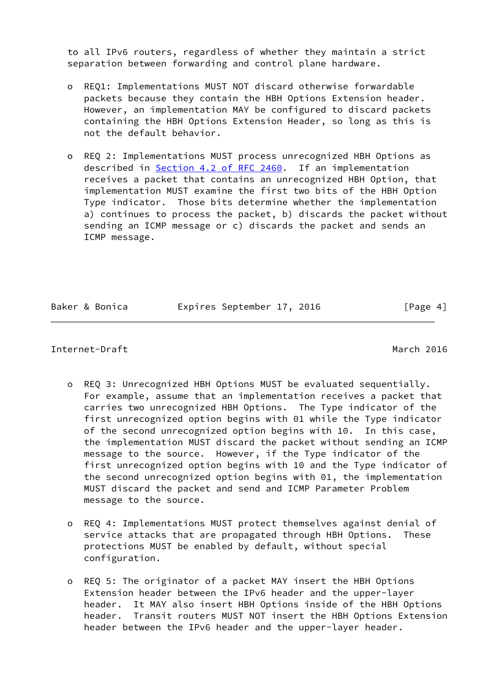to all IPv6 routers, regardless of whether they maintain a strict separation between forwarding and control plane hardware.

- o REQ1: Implementations MUST NOT discard otherwise forwardable packets because they contain the HBH Options Extension header. However, an implementation MAY be configured to discard packets containing the HBH Options Extension Header, so long as this is not the default behavior.
- o REQ 2: Implementations MUST process unrecognized HBH Options as described in Section [4.2 of RFC 2460](https://datatracker.ietf.org/doc/pdf/rfc2460#section-4.2). If an implementation receives a packet that contains an unrecognized HBH Option, that implementation MUST examine the first two bits of the HBH Option Type indicator. Those bits determine whether the implementation a) continues to process the packet, b) discards the packet without sending an ICMP message or c) discards the packet and sends an ICMP message.

Baker & Bonica **Expires September 17, 2016** [Page 4]

## Internet-Draft March 2016

- o REQ 3: Unrecognized HBH Options MUST be evaluated sequentially. For example, assume that an implementation receives a packet that carries two unrecognized HBH Options. The Type indicator of the first unrecognized option begins with 01 while the Type indicator of the second unrecognized option begins with 10. In this case, the implementation MUST discard the packet without sending an ICMP message to the source. However, if the Type indicator of the first unrecognized option begins with 10 and the Type indicator of the second unrecognized option begins with 01, the implementation MUST discard the packet and send and ICMP Parameter Problem message to the source.
- o REQ 4: Implementations MUST protect themselves against denial of service attacks that are propagated through HBH Options. These protections MUST be enabled by default, without special configuration.
- o REQ 5: The originator of a packet MAY insert the HBH Options Extension header between the IPv6 header and the upper-layer header. It MAY also insert HBH Options inside of the HBH Options header. Transit routers MUST NOT insert the HBH Options Extension header between the IPv6 header and the upper-layer header.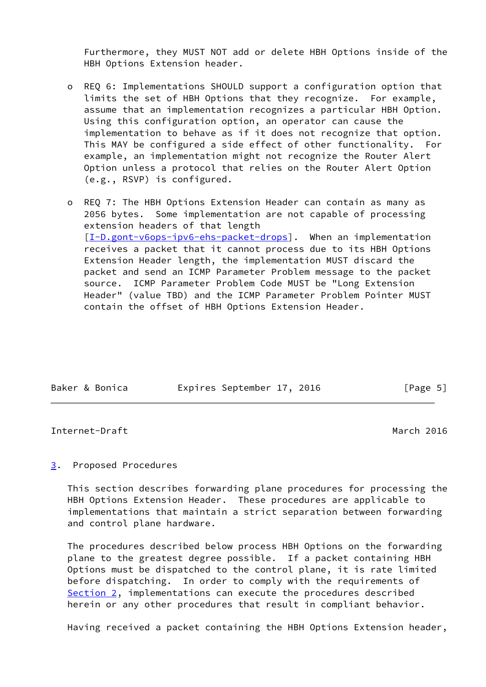Furthermore, they MUST NOT add or delete HBH Options inside of the HBH Options Extension header.

- o REQ 6: Implementations SHOULD support a configuration option that limits the set of HBH Options that they recognize. For example, assume that an implementation recognizes a particular HBH Option. Using this configuration option, an operator can cause the implementation to behave as if it does not recognize that option. This MAY be configured a side effect of other functionality. For example, an implementation might not recognize the Router Alert Option unless a protocol that relies on the Router Alert Option (e.g., RSVP) is configured.
- o REQ 7: The HBH Options Extension Header can contain as many as 2056 bytes. Some implementation are not capable of processing extension headers of that length [[I-D.gont-v6ops-ipv6-ehs-packet-drops\]](#page-8-2). When an implementation receives a packet that it cannot process due to its HBH Options Extension Header length, the implementation MUST discard the packet and send an ICMP Parameter Problem message to the packet source. ICMP Parameter Problem Code MUST be "Long Extension Header" (value TBD) and the ICMP Parameter Problem Pointer MUST contain the offset of HBH Options Extension Header.

|  | Baker & Bonica | Expires September 17, 2016 |  | [Page 5] |  |
|--|----------------|----------------------------|--|----------|--|

#### <span id="page-5-1"></span>Internet-Draft March 2016

# <span id="page-5-0"></span>[3](#page-5-0). Proposed Procedures

 This section describes forwarding plane procedures for processing the HBH Options Extension Header. These procedures are applicable to implementations that maintain a strict separation between forwarding and control plane hardware.

 The procedures described below process HBH Options on the forwarding plane to the greatest degree possible. If a packet containing HBH Options must be dispatched to the control plane, it is rate limited before dispatching. In order to comply with the requirements of [Section 2](#page-3-2), implementations can execute the procedures described herein or any other procedures that result in compliant behavior.

Having received a packet containing the HBH Options Extension header,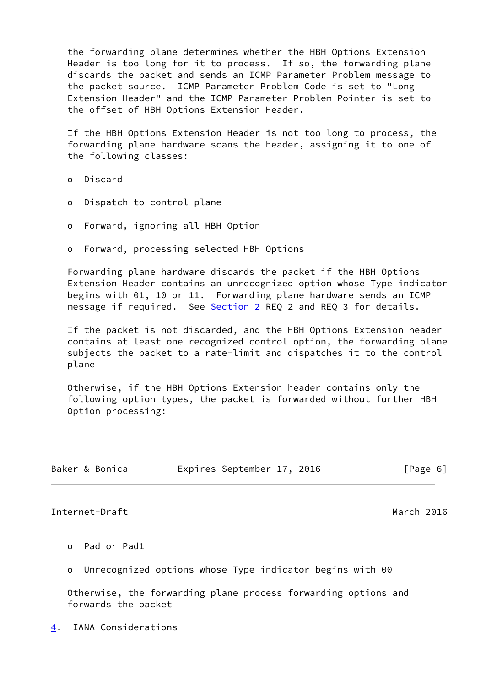the forwarding plane determines whether the HBH Options Extension Header is too long for it to process. If so, the forwarding plane discards the packet and sends an ICMP Parameter Problem message to the packet source. ICMP Parameter Problem Code is set to "Long Extension Header" and the ICMP Parameter Problem Pointer is set to the offset of HBH Options Extension Header.

 If the HBH Options Extension Header is not too long to process, the forwarding plane hardware scans the header, assigning it to one of the following classes:

o Discard

- o Dispatch to control plane
- o Forward, ignoring all HBH Option
- o Forward, processing selected HBH Options

 Forwarding plane hardware discards the packet if the HBH Options Extension Header contains an unrecognized option whose Type indicator begins with 01, 10 or 11. Forwarding plane hardware sends an ICMP message if required. See [Section 2](#page-3-2) REQ 2 and REQ 3 for details.

 If the packet is not discarded, and the HBH Options Extension header contains at least one recognized control option, the forwarding plane subjects the packet to a rate-limit and dispatches it to the control plane

 Otherwise, if the HBH Options Extension header contains only the following option types, the packet is forwarded without further HBH Option processing:

| Baker & Bonica |  | Expires September 17, 2016 |  |  | [Page 6] |
|----------------|--|----------------------------|--|--|----------|
|----------------|--|----------------------------|--|--|----------|

<span id="page-6-1"></span>Internet-Draft March 2016

- o Pad or Pad1
- Unrecognized options whose Type indicator begins with 00

 Otherwise, the forwarding plane process forwarding options and forwards the packet

<span id="page-6-0"></span>[4](#page-6-0). IANA Considerations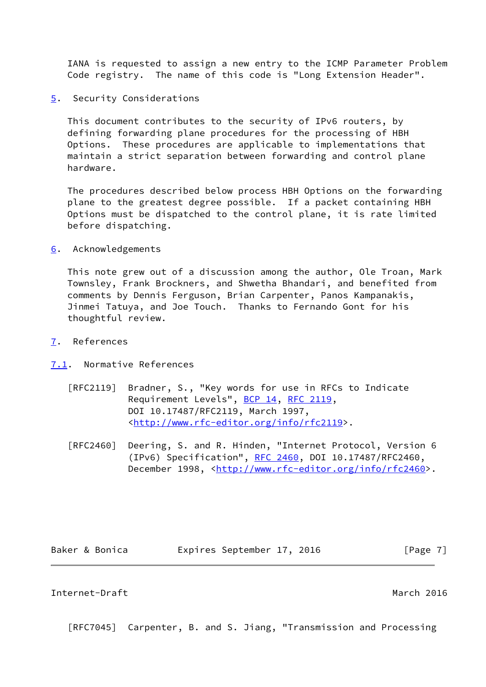IANA is requested to assign a new entry to the ICMP Parameter Problem Code registry. The name of this code is "Long Extension Header".

<span id="page-7-0"></span>[5](#page-7-0). Security Considerations

 This document contributes to the security of IPv6 routers, by defining forwarding plane procedures for the processing of HBH Options. These procedures are applicable to implementations that maintain a strict separation between forwarding and control plane hardware.

 The procedures described below process HBH Options on the forwarding plane to the greatest degree possible. If a packet containing HBH Options must be dispatched to the control plane, it is rate limited before dispatching.

<span id="page-7-1"></span>[6](#page-7-1). Acknowledgements

 This note grew out of a discussion among the author, Ole Troan, Mark Townsley, Frank Brockners, and Shwetha Bhandari, and benefited from comments by Dennis Ferguson, Brian Carpenter, Panos Kampanakis, Jinmei Tatuya, and Joe Touch. Thanks to Fernando Gont for his thoughtful review.

- <span id="page-7-2"></span>[7](#page-7-2). References
- <span id="page-7-3"></span>[7.1](#page-7-3). Normative References
	- [RFC2119] Bradner, S., "Key words for use in RFCs to Indicate Requirement Levels", [BCP 14](https://datatracker.ietf.org/doc/pdf/bcp14), [RFC 2119](https://datatracker.ietf.org/doc/pdf/rfc2119), DOI 10.17487/RFC2119, March 1997, <<http://www.rfc-editor.org/info/rfc2119>>.
	- [RFC2460] Deering, S. and R. Hinden, "Internet Protocol, Version 6 (IPv6) Specification", [RFC 2460](https://datatracker.ietf.org/doc/pdf/rfc2460), DOI 10.17487/RFC2460, December 1998, <<http://www.rfc-editor.org/info/rfc2460>>.

Baker & Bonica **Expires September 17, 2016** [Page 7]

#### <span id="page-7-4"></span>Internet-Draft March 2016

[RFC7045] Carpenter, B. and S. Jiang, "Transmission and Processing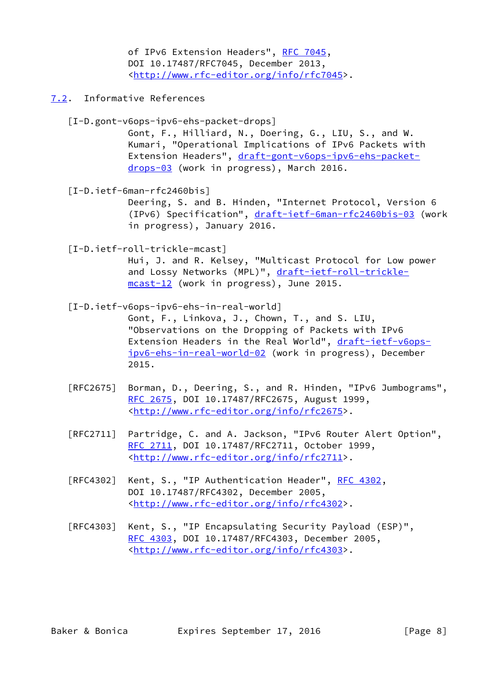of IPv6 Extension Headers", [RFC 7045,](https://datatracker.ietf.org/doc/pdf/rfc7045) DOI 10.17487/RFC7045, December 2013, <<http://www.rfc-editor.org/info/rfc7045>>.

<span id="page-8-0"></span>[7.2](#page-8-0). Informative References

<span id="page-8-2"></span> [I-D.gont-v6ops-ipv6-ehs-packet-drops] Gont, F., Hilliard, N., Doering, G., LIU, S., and W. Kumari, "Operational Implications of IPv6 Packets with Extension Headers", [draft-gont-v6ops-ipv6-ehs-packet](https://datatracker.ietf.org/doc/pdf/draft-gont-v6ops-ipv6-ehs-packet-drops-03) [drops-03](https://datatracker.ietf.org/doc/pdf/draft-gont-v6ops-ipv6-ehs-packet-drops-03) (work in progress), March 2016.

<span id="page-8-3"></span> [I-D.ietf-6man-rfc2460bis] Deering, S. and B. Hinden, "Internet Protocol, Version 6 (IPv6) Specification", [draft-ietf-6man-rfc2460bis-03](https://datatracker.ietf.org/doc/pdf/draft-ietf-6man-rfc2460bis-03) (work in progress), January 2016.

<span id="page-8-4"></span> [I-D.ietf-roll-trickle-mcast] Hui, J. and R. Kelsey, "Multicast Protocol for Low power and Lossy Networks (MPL)", [draft-ietf-roll-trickle](https://datatracker.ietf.org/doc/pdf/draft-ietf-roll-trickle-mcast-12) [mcast-12](https://datatracker.ietf.org/doc/pdf/draft-ietf-roll-trickle-mcast-12) (work in progress), June 2015.

<span id="page-8-1"></span> [I-D.ietf-v6ops-ipv6-ehs-in-real-world] Gont, F., Linkova, J., Chown, T., and S. LIU, "Observations on the Dropping of Packets with IPv6 Extension Headers in the Real World", [draft-ietf-v6ops](https://datatracker.ietf.org/doc/pdf/draft-ietf-v6ops-ipv6-ehs-in-real-world-02) [ipv6-ehs-in-real-world-02](https://datatracker.ietf.org/doc/pdf/draft-ietf-v6ops-ipv6-ehs-in-real-world-02) (work in progress), December 2015.

- [RFC2675] Borman, D., Deering, S., and R. Hinden, "IPv6 Jumbograms", [RFC 2675,](https://datatracker.ietf.org/doc/pdf/rfc2675) DOI 10.17487/RFC2675, August 1999, <<http://www.rfc-editor.org/info/rfc2675>>.
- [RFC2711] Partridge, C. and A. Jackson, "IPv6 Router Alert Option", [RFC 2711,](https://datatracker.ietf.org/doc/pdf/rfc2711) DOI 10.17487/RFC2711, October 1999, <<http://www.rfc-editor.org/info/rfc2711>>.
- [RFC4302] Kent, S., "IP Authentication Header", [RFC 4302](https://datatracker.ietf.org/doc/pdf/rfc4302), DOI 10.17487/RFC4302, December 2005, <<http://www.rfc-editor.org/info/rfc4302>>.
- [RFC4303] Kent, S., "IP Encapsulating Security Payload (ESP)", [RFC 4303,](https://datatracker.ietf.org/doc/pdf/rfc4303) DOI 10.17487/RFC4303, December 2005, <<http://www.rfc-editor.org/info/rfc4303>>.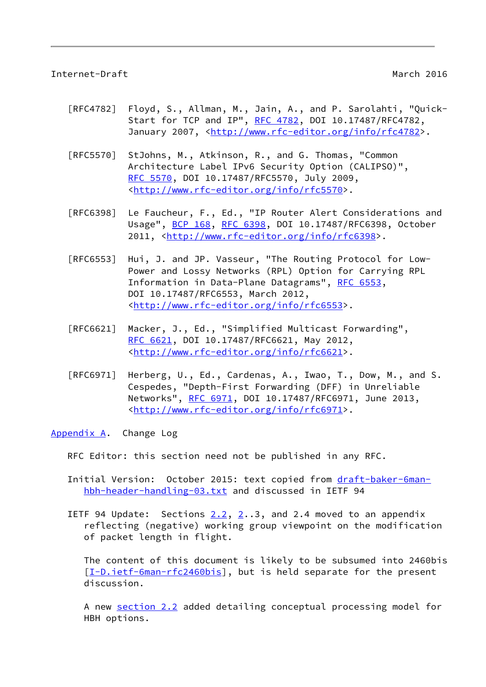#### <span id="page-9-1"></span>Internet-Draft March 2016

- [RFC4782] Floyd, S., Allman, M., Jain, A., and P. Sarolahti, "Quick- Start for TCP and IP", [RFC 4782](https://datatracker.ietf.org/doc/pdf/rfc4782), DOI 10.17487/RFC4782, January 2007, [<http://www.rfc-editor.org/info/rfc4782](http://www.rfc-editor.org/info/rfc4782)>.
- [RFC5570] StJohns, M., Atkinson, R., and G. Thomas, "Common Architecture Label IPv6 Security Option (CALIPSO)", [RFC 5570,](https://datatracker.ietf.org/doc/pdf/rfc5570) DOI 10.17487/RFC5570, July 2009, <<http://www.rfc-editor.org/info/rfc5570>>.
- [RFC6398] Le Faucheur, F., Ed., "IP Router Alert Considerations and Usage", [BCP 168](https://datatracker.ietf.org/doc/pdf/bcp168), [RFC 6398,](https://datatracker.ietf.org/doc/pdf/rfc6398) DOI 10.17487/RFC6398, October 2011, [<http://www.rfc-editor.org/info/rfc6398](http://www.rfc-editor.org/info/rfc6398)>.
- [RFC6553] Hui, J. and JP. Vasseur, "The Routing Protocol for Low- Power and Lossy Networks (RPL) Option for Carrying RPL Information in Data-Plane Datagrams", [RFC 6553](https://datatracker.ietf.org/doc/pdf/rfc6553), DOI 10.17487/RFC6553, March 2012, <<http://www.rfc-editor.org/info/rfc6553>>.
- [RFC6621] Macker, J., Ed., "Simplified Multicast Forwarding", [RFC 6621,](https://datatracker.ietf.org/doc/pdf/rfc6621) DOI 10.17487/RFC6621, May 2012, <<http://www.rfc-editor.org/info/rfc6621>>.
- [RFC6971] Herberg, U., Ed., Cardenas, A., Iwao, T., Dow, M., and S. Cespedes, "Depth-First Forwarding (DFF) in Unreliable Networks", [RFC 6971](https://datatracker.ietf.org/doc/pdf/rfc6971), DOI 10.17487/RFC6971, June 2013, <<http://www.rfc-editor.org/info/rfc6971>>.

<span id="page-9-0"></span>[Appendix A.](#page-9-0) Change Log

RFC Editor: this section need not be published in any RFC.

- Initial Version: October 2015: text copied from [draft-baker-6man](https://datatracker.ietf.org/doc/pdf/draft-baker-6man-hbh-header-handling-03.txt) [hbh-header-handling-03.txt](https://datatracker.ietf.org/doc/pdf/draft-baker-6man-hbh-header-handling-03.txt) and discussed in IETF 94
- IETF 94 Update: Sections  $2.2$  $2.2$ ,  $2.3$ , and 2.4 moved to an appendix reflecting (negative) working group viewpoint on the modification of packet length in flight.

 The content of this document is likely to be subsumed into 2460bis [[I-D.ietf-6man-rfc2460bis\]](#page-8-3), but is held separate for the present discussion.

 A new section 2.2 added detailing conceptual processing model for HBH options.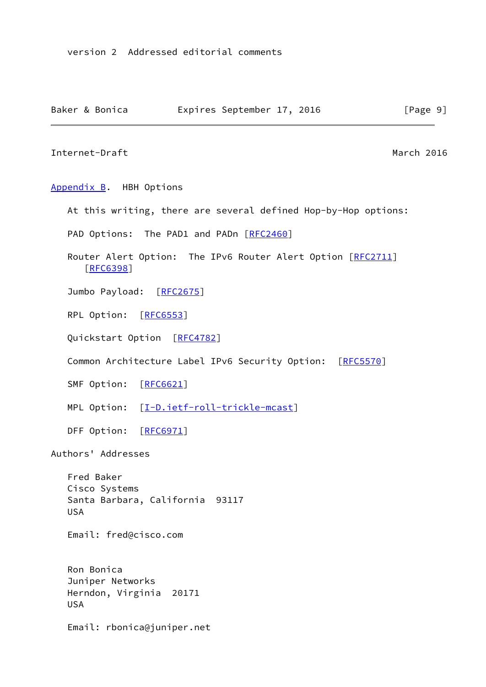<span id="page-10-1"></span><span id="page-10-0"></span>Internet-Draft March 2016 [Appendix B.](#page-10-0) HBH Options At this writing, there are several defined Hop-by-Hop options: PAD Options: The PAD1 and PADn [\[RFC2460](https://datatracker.ietf.org/doc/pdf/rfc2460)] Router Alert Option: The IPv6 Router Alert Option [[RFC2711\]](https://datatracker.ietf.org/doc/pdf/rfc2711) [[RFC6398\]](https://datatracker.ietf.org/doc/pdf/rfc6398) Jumbo Payload: [\[RFC2675](https://datatracker.ietf.org/doc/pdf/rfc2675)] RPL Option: [\[RFC6553](https://datatracker.ietf.org/doc/pdf/rfc6553)] Quickstart Option [[RFC4782\]](https://datatracker.ietf.org/doc/pdf/rfc4782) Common Architecture Label IPv6 Security Option: [\[RFC5570](https://datatracker.ietf.org/doc/pdf/rfc5570)] SMF Option: [\[RFC6621](https://datatracker.ietf.org/doc/pdf/rfc6621)] MPL Option: [\[I-D.ietf-roll-trickle-mcast](#page-8-4)] DFF Option: [\[RFC6971](https://datatracker.ietf.org/doc/pdf/rfc6971)] Authors' Addresses Fred Baker Cisco Systems Santa Barbara, California 93117 USA Email: fred@cisco.com Ron Bonica Juniper Networks Herndon, Virginia 20171 USA

Baker & Bonica **Expires September 17, 2016** [Page 9]

Email: rbonica@juniper.net